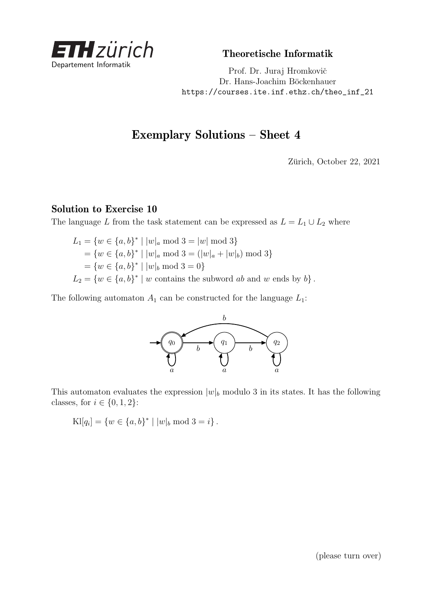

Theoretische Informatik

Prof. Dr. Juraj Hromkovič Dr. Hans-Joachim Böckenhauer [https://courses.ite.inf.ethz.ch/theo\\_inf\\_21](https://courses.ite.inf.ethz.ch/theo_inf_21)

## Exemplary Solutions – Sheet 4

Zürich, October 22, 2021

## Solution to Exercise 10

The language *L* from the task statement can be expressed as  $L = L_1 \cup L_2$  where

$$
L_1 = \{ w \in \{a, b\}^* \mid |w|_a \mod 3 = |w| \mod 3 \}
$$
  
=  $\{ w \in \{a, b\}^* \mid |w|_a \mod 3 = (|w|_a + |w|_b) \mod 3 \}$   
=  $\{ w \in \{a, b\}^* \mid |w|_b \mod 3 = 0 \}$   

$$
L_2 = \{ w \in \{a, b\}^* \mid w \text{ contains the subword } ab \text{ and } w \text{ ends by } b \}.
$$

The following automaton  $A_1$  can be constructed for the language  $L_1$ :



This automaton evaluates the expression  $|w|_b$  modulo 3 in its states. It has the following classes, for  $i \in \{0, 1, 2\}$ :

 $\text{Kl}[q_i] = \{w \in \{a, b\}^* \mid |w|_b \text{ mod } 3 = i\}.$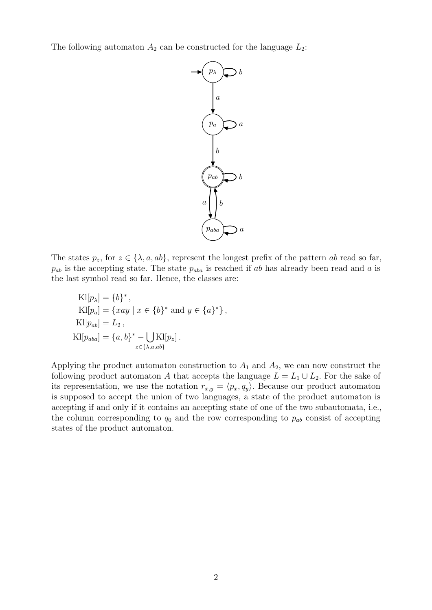The following automaton  $A_2$  can be constructed for the language  $L_2$ :



The states  $p_z$ , for  $z \in \{\lambda, a, ab\}$ , represent the longest prefix of the pattern *ab* read so far,  $p_{ab}$  is the accepting state. The state  $p_{aba}$  is reached if *ab* has already been read and *a* is the last symbol read so far. Hence, the classes are:

$$
Kl[p_{\lambda}] = \{b\}^*,
$$
  
\n
$$
Kl[p_a] = \{xay \mid x \in \{b\}^* \text{ and } y \in \{a\}^*\},
$$
  
\n
$$
Kl[p_{ab}] = L_2,
$$
  
\n
$$
Kl[p_{aba}] = \{a, b\}^* - \bigcup_{z \in \{\lambda, a, ab\}} Kl[p_z].
$$

Applying the product automaton construction to  $A_1$  and  $A_2$ , we can now construct the following product automaton *A* that accepts the language  $L = L_1 \cup L_2$ . For the sake of its representation, we use the notation  $r_{x,y} = \langle p_x, q_y \rangle$ . Because our product automaton is supposed to accept the union of two languages, a state of the product automaton is accepting if and only if it contains an accepting state of one of the two subautomata, i.e., the column corresponding to  $q_0$  and the row corresponding to  $p_{ab}$  consist of accepting states of the product automaton.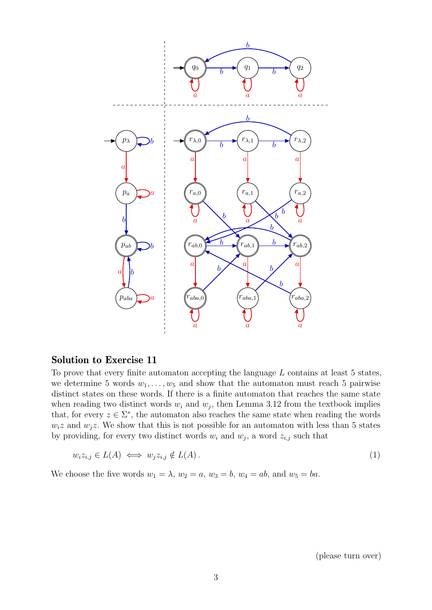

## Solution to Exercise 11

To prove that every finite automaton accepting the language *L* contains at least 5 states, we determine 5 words  $w_1, \ldots, w_5$  and show that the automaton must reach 5 pairwise distinct states on these words. If there is a finite automaton that reaches the same state when reading two distinct words  $w_i$  and  $w_j$ , then Lemma 3.12 from the textbook implies that, for every  $z \in \Sigma^*$ , the automaton also reaches the same state when reading the words  $w_i z$  and  $w_j z$ . We show that this is not possible for an automaton with less than 5 states by providing, for every two distinct words  $w_i$  and  $w_j$ , a word  $z_{i,j}$  such that

$$
w_i z_{i,j} \in L(A) \iff w_j z_{i,j} \notin L(A). \tag{1}
$$

We choose the five words  $w_1 = \lambda$ ,  $w_2 = a$ ,  $w_3 = b$ ,  $w_4 = ab$ , and  $w_5 = ba$ .

<span id="page-2-0"></span>(please turn over)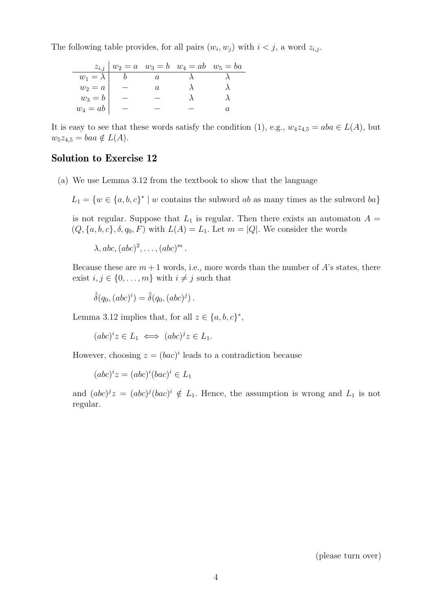The following table provides, for all pairs  $(w_i, w_j)$  with  $i < j$ , a word  $z_{i,j}$ .

|                 |  | $z_{i,j}   w_2 = a \quad w_3 = b \quad w_4 = ab \quad w_5 = ba$ |  |
|-----------------|--|-----------------------------------------------------------------|--|
| $w_1 = \lambda$ |  |                                                                 |  |
| $w_2 = a$       |  |                                                                 |  |
| $w_3 = b$       |  |                                                                 |  |
| $w_4 = ab$      |  |                                                                 |  |

It is easy to see that these words satisfy the condition [\(1\)](#page-2-0), e.g.,  $w_4z_{4,5} = aba \in L(A)$ , but  $w_5z_{4,5} = baa \notin L(A).$ 

## Solution to Exercise 12

(a) We use Lemma 3.12 from the textbook to show that the language

 $L_1 = \{w \in \{a, b, c\}^* \mid w \text{ contains the subword } ab \text{ as many times as the subword } ba\}$ 

is not regular. Suppose that  $L_1$  is regular. Then there exists an automaton  $A =$  $(Q, \{a, b, c\}, \delta, q_0, F)$  with  $L(A) = L_1$ . Let  $m = |Q|$ . We consider the words

 $\lambda$ ,  $abc$ ,  $(abc)^2$ ,  $\dots$ ,  $(abc)^m$ .

Because these are  $m+1$  words, i.e., more words than the number of  $A$ 's states, there exist  $i, j \in \{0, \ldots, m\}$  with  $i \neq j$  such that

 $\hat{\delta}(q_0, (abc)^i) = \hat{\delta}(q_0, (abc)^j)$ .

Lemma 3.12 implies that, for all  $z \in \{a, b, c\}^*$ ,

 $(abc)^i z \in L_1 \iff (abc)^j z \in L_1.$ 

However, choosing  $z = (bac)^i$  leads to a contradiction because

 $(abc)^i z = (abc)^i (bac)^i \in L_1$ 

and  $(abc)^j z = (abc)^j (bac)^i \notin L_1$ . Hence, the assumption is wrong and  $L_1$  is not regular.

(please turn over)